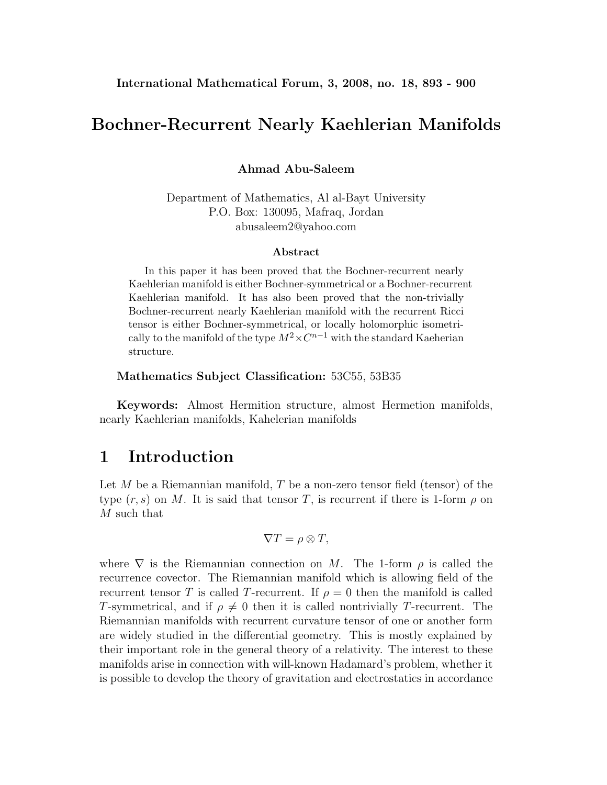## **Bochner-Recurrent Nearly Kaehlerian Manifolds**

**Ahmad Abu-Saleem**

Department of Mathematics, Al al-Bayt University P.O. Box: 130095, Mafraq, Jordan abusaleem2@yahoo.com

#### **Abstract**

In this paper it has been proved that the Bochner-recurrent nearly Kaehlerian manifold is either Bochner-symmetrical or a Bochner-recurrent Kaehlerian manifold. It has also been proved that the non-trivially Bochner-recurrent nearly Kaehlerian manifold with the recurrent Ricci tensor is either Bochner-symmetrical, or locally holomorphic isometrically to the manifold of the type  $M^2 \times C^{n-1}$  with the standard Kaeherian structure.

**Mathematics Subject Classification:** 53C55, 53B35

**Keywords:** Almost Hermition structure, almost Hermetion manifolds, nearly Kaehlerian manifolds, Kahelerian manifolds

# **1 Introduction**

Let  $M$  be a Riemannian manifold,  $T$  be a non-zero tensor field (tensor) of the type  $(r, s)$  on M. It is said that tensor T, is recurrent if there is 1-form  $\rho$  on M such that

$$
\nabla T = \rho \otimes T,
$$

where  $\nabla$  is the Riemannian connection on M. The 1-form  $\rho$  is called the recurrence covector. The Riemannian manifold which is allowing field of the recurrent tensor T is called T-recurrent. If  $\rho = 0$  then the manifold is called T-symmetrical, and if  $\rho \neq 0$  then it is called nontrivially T-recurrent. The Riemannian manifolds with recurrent curvature tensor of one or another form are widely studied in the differential geometry. This is mostly explained by their important role in the general theory of a relativity. The interest to these manifolds arise in connection with will-known Hadamard's problem, whether it is possible to develop the theory of gravitation and electrostatics in accordance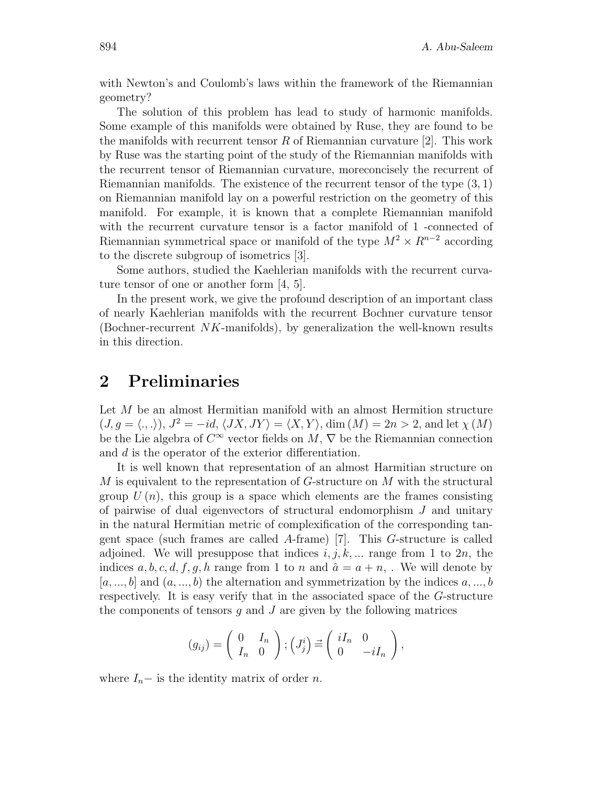with Newton's and Coulomb's laws within the framework of the Riemannian geometry?

The solution of this problem has lead to study of harmonic manifolds. Some example of this manifolds were obtained by Ruse, they are found to be the manifolds with recurrent tensor  $R$  of Riemannian curvature [2]. This work by Ruse was the starting point of the study of the Riemannian manifolds with the recurrent tensor of Riemannian curvature, moreconcisely the recurrent of Riemannian manifolds. The existence of the recurrent tensor of the type  $(3, 1)$ on Riemannian manifold lay on a powerful restriction on the geometry of this manifold. For example, it is known that a complete Riemannian manifold with the recurrent curvature tensor is a factor manifold of 1 -connected of Riemannian symmetrical space or manifold of the type  $M^2 \times R^{n-2}$  according to the discrete subgroup of isometrics [3].

Some authors, studied the Kaehlerian manifolds with the recurrent curvature tensor of one or another form [4, 5].

In the present work, we give the profound description of an important class of nearly Kaehlerian manifolds with the recurrent Bochner curvature tensor (Bochner-recurrent  $NK$ -manifolds), by generalization the well-known results in this direction.

### **2 Preliminaries**

Let M be an almost Hermitian manifold with an almost Hermition structure  $(J, g = \langle ., . \rangle), J^2 = -id, \langle JX, JY \rangle = \langle X, Y \rangle, \dim(M) = 2n > 2$ , and let  $\chi(M)$ be the Lie algebra of  $C^{\infty}$  vector fields on  $M, \nabla$  be the Riemannian connection and d is the operator of the exterior differentiation.

It is well known that representation of an almost Harmitian structure on M is equivalent to the representation of G-structure on M with the structural group  $U(n)$ , this group is a space which elements are the frames consisting of pairwise of dual eigenvectors of structural endomorphism J and unitary in the natural Hermitian metric of complexification of the corresponding tangent space (such frames are called A-frame) [7]. This G-structure is called adjoined. We will presuppose that indices  $i, j, k, \ldots$  range from 1 to  $2n$ , the indices a, b, c, d, f, g, h range from 1 to n and  $\hat{a} = a + n$ , We will denote by  $[a, ..., b]$  and  $(a, ..., b)$  the alternation and symmetrization by the indices  $a, ..., b$ respectively. It is easy verify that in the associated space of the G-structure the components of tensors  $q$  and  $J$  are given by the following matrices

$$
(g_{ij}) = \begin{pmatrix} 0 & I_n \\ I_n & 0 \end{pmatrix}; \left( J_j^i \right) \equiv \begin{pmatrix} iI_n & 0 \\ 0 & -iI_n \end{pmatrix},
$$

where  $I_n$ − is the identity matrix of order *n*.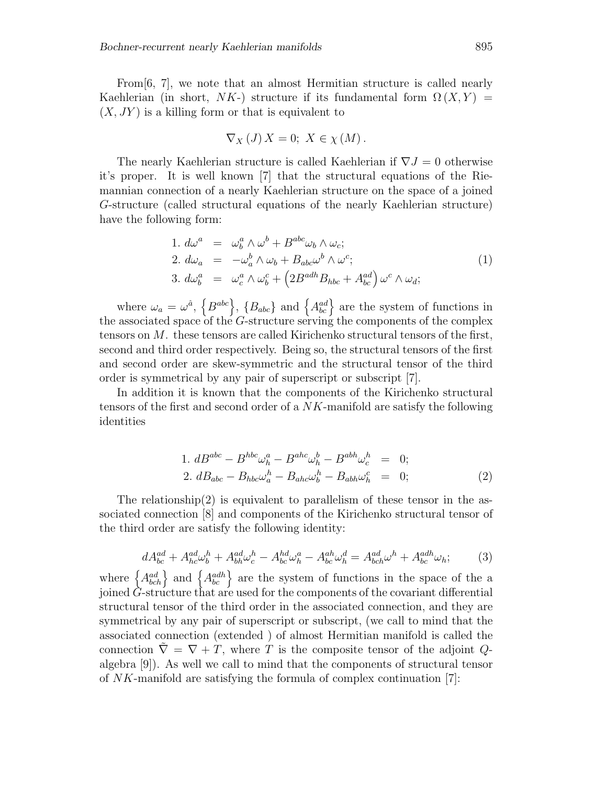From[6, 7], we note that an almost Hermitian structure is called nearly Kaehlerian (in short, NK-) structure if its fundamental form  $\Omega(X, Y) =$  $(X, JY)$  is a killing form or that is equivalent to

$$
\nabla_X(J) X = 0; X \in \chi(M).
$$

The nearly Kaehlerian structure is called Kaehlerian if  $\nabla J = 0$  otherwise it's proper. It is well known [7] that the structural equations of the Riemannian connection of a nearly Kaehlerian structure on the space of a joined G-structure (called structural equations of the nearly Kaehlerian structure) have the following form:

1. 
$$
d\omega^a = \omega_b^a \wedge \omega^b + B^{abc}\omega_b \wedge \omega_c
$$
;  
\n2.  $d\omega_a = -\omega_a^b \wedge \omega_b + B_{abc}\omega^b \wedge \omega^c$ ;  
\n3.  $d\omega_b^a = \omega_c^a \wedge \omega_b^c + (2B^{adh}B_{hbc} + A_{bc}^{ad}) \omega^c \wedge \omega_d$ ;  
\n(1)

where  $\omega_a = \omega^{\hat{a}}$ ,  $\{B^{abc}\}, \{B_{abc}\}$  and  $\{A^{ad}_{bc}\}$  are the system of functions in the associated space of the  $G$ -structure serving the components of the complex tensors on M. these tensors are called Kirichenko structural tensors of the first, second and third order respectively. Being so, the structural tensors of the first and second order are skew-symmetric and the structural tensor of the third order is symmetrical by any pair of superscript or subscript [7].

In addition it is known that the components of the Kirichenko structural tensors of the first and second order of a NK-manifold are satisfy the following identities

1. 
$$
dB^{abc} - B^{hbc}\omega_h^a - B^{ahc}\omega_h^b - B^{abh}\omega_c^h = 0;
$$
  
2. 
$$
dB_{abc} - B_{hbc}\omega_a^h - B_{ahc}\omega_b^h - B_{abh}\omega_h^c = 0;
$$
 (2)

The relationship(2) is equivalent to parallelism of these tensor in the associated connection [8] and components of the Kirichenko structural tensor of the third order are satisfy the following identity:

$$
dA_{bc}^{ad} + A_{hc}^{ad}\omega_b^h + A_{bh}^{ad}\omega_c^h - A_{bc}^{hd}\omega_h^a - A_{bc}^{ah}\omega_h^d = A_{bc}^{ad}\omega^h + A_{bc}^{adh}\omega_h; \tag{3}
$$

where  $\{A^{ad}_{bc} \}$  and  $\{A^{adh}_{bc}\}$  are the system of functions in the space of the a joined G-structure that are used for the components of the covariant differential structural tensor of the third order in the associated connection, and they are symmetrical by any pair of superscript or subscript, (we call to mind that the associated connection (extended ) of almost Hermitian manifold is called the connection  $\nabla = \nabla + T$ , where T is the composite tensor of the adjoint Qalgebra [9]). As well we call to mind that the components of structural tensor of NK-manifold are satisfying the formula of complex continuation [7]: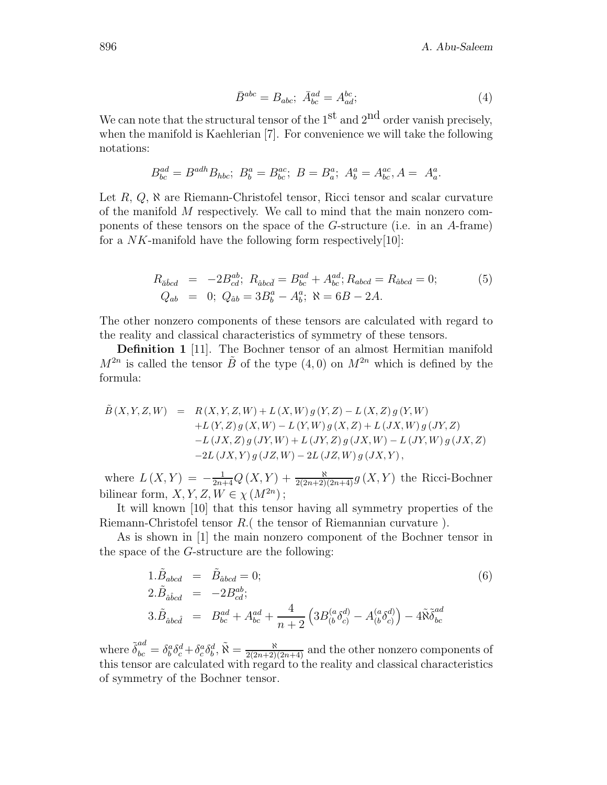$$
\bar{B}^{abc} = B_{abc}; \ \bar{A}^{ad}_{bc} = A^{bc}_{ad};\tag{4}
$$

We can note that the structural tensor of the  $1<sup>st</sup>$  and  $2<sup>nd</sup>$  order vanish precisely, when the manifold is Kaehlerian [7]. For convenience we will take the following notations:

$$
B_{bc}^{ad} = B^{adh} B_{hbc}; \ B_{b}^{a} = B_{bc}^{ac}; \ B = B_{a}^{a}; \ A_{b}^{a} = A_{bc}^{ac}, A = A_{a}^{a}.
$$

Let  $R, Q, \aleph$  are Riemann-Christofel tensor, Ricci tensor and scalar curvature of the manifold M respectively. We call to mind that the main nonzero components of these tensors on the space of the G-structure (i.e. in an A-frame) for a  $NK$ -manifold have the following form respectively [10]:

$$
R_{\tilde{a}\tilde{b}cd} = -2B_{cd}^{ab}; R_{\tilde{a}bc\tilde{d}} = B_{bc}^{ad} + A_{bc}^{ad}; R_{abcd} = R_{\tilde{a}bcd} = 0; \qquad (5)
$$
  

$$
Q_{ab} = 0; Q_{\tilde{a}b} = 3B_{b}^{a} - A_{b}^{a}; \ \aleph = 6B - 2A.
$$

The other nonzero components of these tensors are calculated with regard to the reality and classical characteristics of symmetry of these tensors.

**Definition 1** [11]. The Bochner tensor of an almost Hermitian manifold  $M^{2n}$  is called the tensor  $\tilde{B}$  of the type  $(4, 0)$  on  $M^{2n}$  which is defined by the formula:

$$
\begin{array}{lll} \tilde{B}\left(X,Y,Z,W\right) & = & R\left(X,Y,Z,W\right) + L\left(X,W\right)g\left(Y,Z\right) - L\left(X,Z\right)g\left(Y,W\right) \\ & & + L\left(Y,Z\right)g\left(X,W\right) - L\left(Y,W\right)g\left(X,Z\right) + L\left(JX,W\right)g\left(JY,Z\right) \\ & & - L\left(JX,Z\right)g\left(JY,W\right) + L\left(JY,Z\right)g\left(JX,W\right) - L\left(JY,W\right)g\left(JX,Z\right) \\ & & - 2 L\left(JX,Y\right)g\left(JZ,W\right) - 2 L\left(JZ,W\right)g\left(JX,Y\right), \end{array}
$$

where  $L(X,Y) = -\frac{1}{2n+4}Q(X,Y) + \frac{8}{2(2n+2)(2n+4)}g(X,Y)$  the Ricci-Bochner bilinear form,  $X, Y, Z, W \in \chi(M^{2n})$ ;

It will known [10] that this tensor having all symmetry properties of the Riemann-Christofel tensor R.( the tensor of Riemannian curvature ).

As is shown in [1] the main nonzero component of the Bochner tensor in the space of the G-structure are the following:

$$
1.\tilde{B}_{abcd} = \tilde{B}_{\hat{a}\hat{b}cd} = 0; \n2.\tilde{B}_{\hat{a}\hat{b}cd} = -2B_{cd}^{ab}; \n3.\tilde{B}_{\hat{a}\hat{b}cd} = B_{bc}^{ad} + A_{bc}^{ad} + \frac{4}{n+2} \left( 3B_{(b}^{(a}\delta_{c)}^{d)} - A_{(b}^{(a}\delta_{c)}^{d)} \right) - 4\tilde{\aleph}\tilde{\delta}_{bc}^{ad}
$$
\n(6)

where  $\tilde{\delta}_{bc}^{ad} = \delta_b^a \delta_c^d + \delta_c^a \delta_b^d$ ,  $\tilde{N} = \frac{N}{2(2n+2)(2n+4)}$  and the other nonzero components of this tensor are calculated with regard to the reality and classical characteristics of symmetry of the Bochner tensor.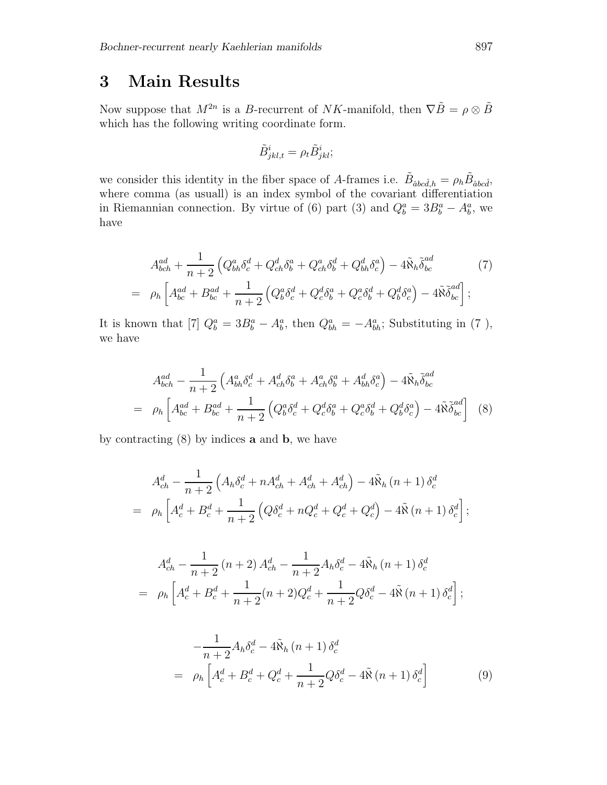### **3 Main Results**

Now suppose that  $M^{2n}$  is a B-recurrent of NK-manifold, then  $\nabla \tilde{B} = \rho \otimes \tilde{B}$ which has the following writing coordinate form.

$$
\tilde{B}^i_{jkl,t} = \rho_t \tilde{B}^i_{jkl};
$$

we consider this identity in the fiber space of A-frames i.e.  $\tilde{B}_{\hat{a}bc\hat{d},h} = \rho_h \tilde{B}_{\hat{a}bc\hat{d}}$ where comma (as usuall) is an index symbol of the covariant differentiation in Riemannian connection. By virtue of (6) part (3) and  $Q_b^a = 3B_b^a - A_b^a$ , we have

$$
A_{bch}^{ad} + \frac{1}{n+2} \left( Q_{bh}^a \delta_c^d + Q_{ch}^d \delta_b^a + Q_{ch}^a \delta_b^d + Q_{bh}^d \delta_c^a \right) - 4 \tilde{N}_h \tilde{\delta}_{bc}^{ad} \tag{7}
$$
  
= 
$$
\rho_h \left[ A_{bc}^{ad} + B_{bc}^{ad} + \frac{1}{n+2} \left( Q_b^a \delta_c^d + Q_c^d \delta_b^a + Q_c^a \delta_b^d + Q_b^d \delta_c^a \right) - 4 \tilde{N} \tilde{\delta}_{bc}^{ad} \right];
$$

It is known that [7]  $Q_b^a = 3B_b^a - A_b^a$ , then  $Q_{bh}^a = -A_{bh}^a$ ; Substituting in (7), we have

$$
A_{bch}^{ad} - \frac{1}{n+2} \left( A_{bh}^a \delta_c^d + A_{ch}^d \delta_b^a + A_{ch}^a \delta_b^a + A_{bh}^d \delta_c^a \right) - 4 \tilde{N}_h \tilde{\delta}_{bc}^{ad}
$$
  
=  $\rho_h \left[ A_{bc}^{ad} + B_{bc}^{ad} + \frac{1}{n+2} \left( Q_b^a \delta_c^d + Q_c^d \delta_b^a + Q_c^a \delta_b^d + Q_b^d \delta_c^a \right) - 4 \tilde{N} \tilde{\delta}_{bc}^{ad} \right]$  (8)

by contracting (8) by indices **a** and **b**, we have

$$
A_{ch}^{d} - \frac{1}{n+2} \left( A_{h} \delta_{c}^{d} + n A_{ch}^{d} + A_{ch}^{d} + A_{ch}^{d} \right) - 4 \tilde{N}_{h} \left( n+1 \right) \delta_{c}^{d}
$$
  
=  $\rho_{h} \left[ A_{c}^{d} + B_{c}^{d} + \frac{1}{n+2} \left( Q \delta_{c}^{d} + n Q_{c}^{d} + Q_{c}^{d} + Q_{c}^{d} \right) - 4 \tilde{N} \left( n+1 \right) \delta_{c}^{d} \right];$ 

$$
A_{ch}^{d} - \frac{1}{n+2} (n+2) A_{ch}^{d} - \frac{1}{n+2} A_{h} \delta_{c}^{d} - 4 \tilde{N}_{h} (n+1) \delta_{c}^{d}
$$
  
= 
$$
\rho_{h} \left[ A_{c}^{d} + B_{c}^{d} + \frac{1}{n+2} (n+2) Q_{c}^{d} + \frac{1}{n+2} Q \delta_{c}^{d} - 4 \tilde{N} (n+1) \delta_{c}^{d} \right];
$$

$$
-\frac{1}{n+2}A_h\delta_c^d - 4\tilde{N}_h(n+1)\delta_c^d
$$
  
=  $\rho_h \left[A_c^d + B_c^d + Q_c^d + \frac{1}{n+2}Q\delta_c^d - 4\tilde{N}(n+1)\delta_c^d\right]$  (9)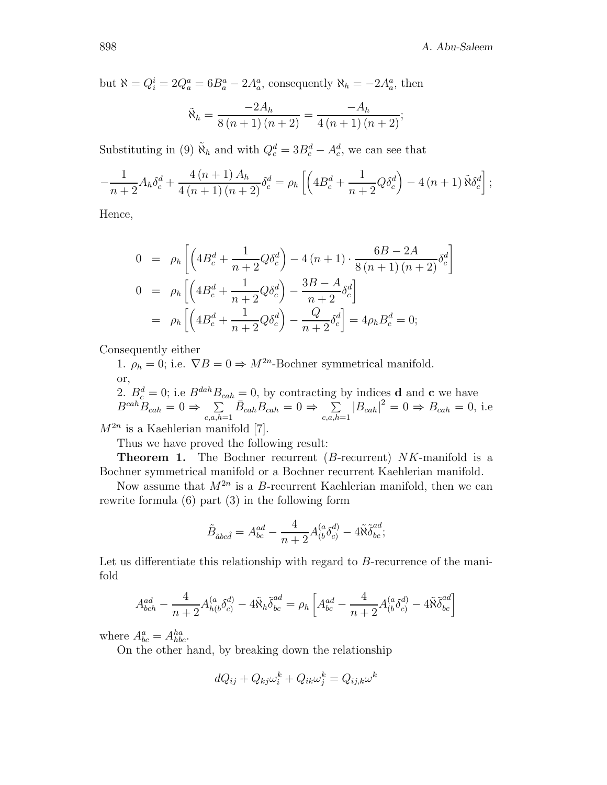but  $\aleph = Q_i^i = 2Q_a^a = 6B_a^a - 2A_a^a$ , consequently  $\aleph_h = -2A_a^a$ , then

$$
\tilde{\aleph}_h = \frac{-2A_h}{8(n+1)(n+2)} = \frac{-A_h}{4(n+1)(n+2)};
$$

Substituting in (9)  $\tilde{N}_h$  and with  $Q_c^d = 3B_c^d - A_c^d$ , we can see that

$$
-\frac{1}{n+2}A_h\delta_c^d + \frac{4(n+1)A_h}{4(n+1)(n+2)}\delta_c^d = \rho_h \left[ \left( 4B_c^d + \frac{1}{n+2}Q\delta_c^d \right) - 4(n+1)\tilde{N}\delta_c^d \right];
$$

Hence,

$$
0 = \rho_h \left[ \left( 4B_c^d + \frac{1}{n+2} Q \delta_c^d \right) - 4 (n+1) \cdot \frac{6B - 2A}{8 (n+1) (n+2)} \delta_c^d \right]
$$
  
\n
$$
0 = \rho_h \left[ \left( 4B_c^d + \frac{1}{n+2} Q \delta_c^d \right) - \frac{3B - A}{n+2} \delta_c^d \right]
$$
  
\n
$$
= \rho_h \left[ \left( 4B_c^d + \frac{1}{n+2} Q \delta_c^d \right) - \frac{Q}{n+2} \delta_c^d \right] = 4\rho_h B_c^d = 0;
$$

Consequently either

1.  $\rho_h = 0$ ; i.e.  $\nabla B = 0 \Rightarrow M^{2n}$ -Bochner symmetrical manifold. or,

2.  $B_c^d = 0$ ; i.e  $B^{dah}B_{cah} = 0$ , by contracting by indices **d** and **c** we have  $B^{cah}B_{cah} = 0 \Rightarrow \sum$ *c,a,h*=1  $\overline{B}_{cah}B_{cah} = 0 \Rightarrow \quad \overline{\Sigma}$ *c,a,h*=1  $|B_{cah}|^2 = 0 \Rightarrow B_{cah} = 0$ , i.e

 $M^{2n}$  is a Kaehlerian manifold [7].

Thus we have proved the following result:

**Theorem 1.** The Bochner recurrent (B-recurrent) NK-manifold is a Bochner symmetrical manifold or a Bochner recurrent Kaehlerian manifold.

Now assume that  $M^{2n}$  is a B-recurrent Kaehlerian manifold, then we can rewrite formula (6) part (3) in the following form

$$
\tilde{B}_{\hat{a}\hat{b}\hat{c}\hat{d}} = A^{ad}_{bc} - \frac{4}{n+2} A^{(a}_{(b}\delta^{d)}_{c)} - 4 \tilde{\aleph} \tilde{\delta}^{ad}_{bc};
$$

Let us differentiate this relationship with regard to B-recurrence of the manifold

$$
A_{bch}^{ad} - \frac{4}{n+2} A_{h(b}^{(a} \delta_{c)}^{d)} - 4 \tilde{N}_h \tilde{\delta}_{bc}^{ad} = \rho_h \left[ A_{bc}^{ad} - \frac{4}{n+2} A_{(b}^{(a} \delta_{c)}^{d)} - 4 \tilde{N} \tilde{\delta}_{bc}^{ad} \right]
$$

where  $A_{bc}^a = A_{hbc}^{ha}$ .

On the other hand, by breaking down the relationship

$$
dQ_{ij} + Q_{kj}\omega_i^k + Q_{ik}\omega_j^k = Q_{ij,k}\omega^k
$$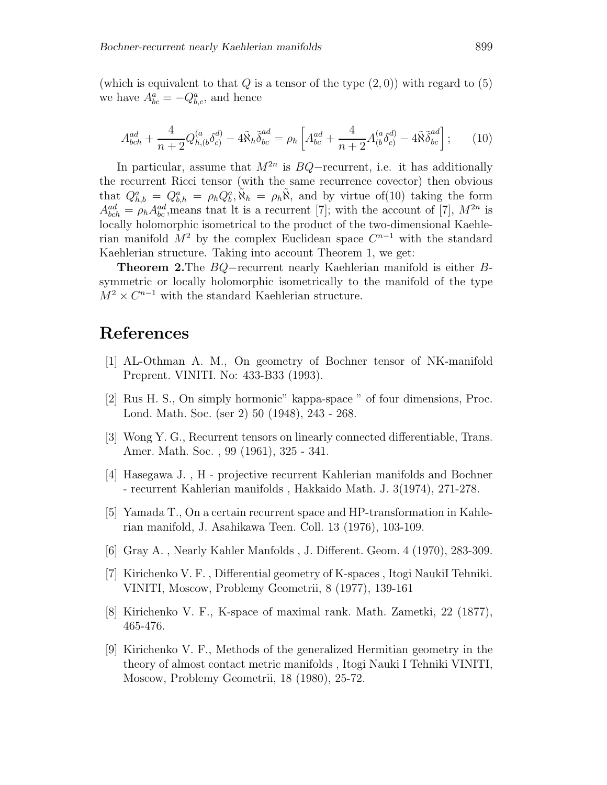(which is equivalent to that  $Q$  is a tensor of the type  $(2, 0)$ ) with regard to  $(5)$ we have  $A_{bc}^a = -Q_{bc}^a$ , and hence

$$
A_{bch}^{ad} + \frac{4}{n+2} Q_{h,(b}^{(a} \delta_{c)}^{d)} - 4 \tilde{N}_h \tilde{\delta}_{bc}^{ad} = \rho_h \left[ A_{bc}^{ad} + \frac{4}{n+2} A_{(b}^{(a} \delta_{c)}^{d)} - 4 \tilde{N} \tilde{\delta}_{bc}^{ad} \right];\tag{10}
$$

In particular, assume that  $M^{2n}$  is  $BQ$ -recurrent, i.e. it has additionally the recurrent Ricci tensor (with the same recurrence covector) then obvious that  $Q_{h,b}^a = Q_{b,h}^a = \rho_h Q_b^a, \tilde{\aleph}_h = \rho_h \tilde{\aleph}$ , and by virtue of(10) taking the form  $A^{ad}_{bch} = \rho_h A^{ad}_{bc}$ , means tnat It is a recurrent [7]; with the account of [7],  $M^{2n}$  is locally holomorphic isometrical to the product of the two-dimensional Kaehlerian manifold  $M^2$  by the complex Euclidean space  $C^{n-1}$  with the standard Kaehlerian structure. Taking into account Theorem 1, we get:

**Theorem 2.**The BQ−recurrent nearly Kaehlerian manifold is either Bsymmetric or locally holomorphic isometrically to the manifold of the type  $M^2 \times C^{n-1}$  with the standard Kaehlerian structure.

#### **References**

- [1] AL-Othman A. M., On geometry of Bochner tensor of NK-manifold Preprent. VINITI. No: 433-B33 (1993).
- [2] Rus H. S., On simply hormonic" kappa-space " of four dimensions, Proc. Lond. Math. Soc. (ser 2) 50 (1948), 243 - 268.
- [3] Wong Y. G., Recurrent tensors on linearly connected differentiable, Trans. Amer. Math. Soc. , 99 (1961), 325 - 341.
- [4] Hasegawa J. , H projective recurrent Kahlerian manifolds and Bochner - recurrent Kahlerian manifolds , Hakkaido Math. J. 3(1974), 271-278.
- [5] Yamada T., On a certain recurrent space and HP-transformation in Kahlerian manifold, J. Asahikawa Teen. Coll. 13 (1976), 103-109.
- [6] Gray A. , Nearly Kahler Manfolds , J. Different. Geom. 4 (1970), 283-309.
- [7] Kirichenko V. F. , Differential geometry of K-spaces , Itogi NaukiI Tehniki. VINITI, Moscow, Problemy Geometrii, 8 (1977), 139-161
- [8] Kirichenko V. F., K-space of maximal rank. Math. Zametki, 22 (1877), 465-476.
- [9] Kirichenko V. F., Methods of the generalized Hermitian geometry in the theory of almost contact metric manifolds , Itogi Nauki I Tehniki VINITI, Moscow, Problemy Geometrii, 18 (1980), 25-72.